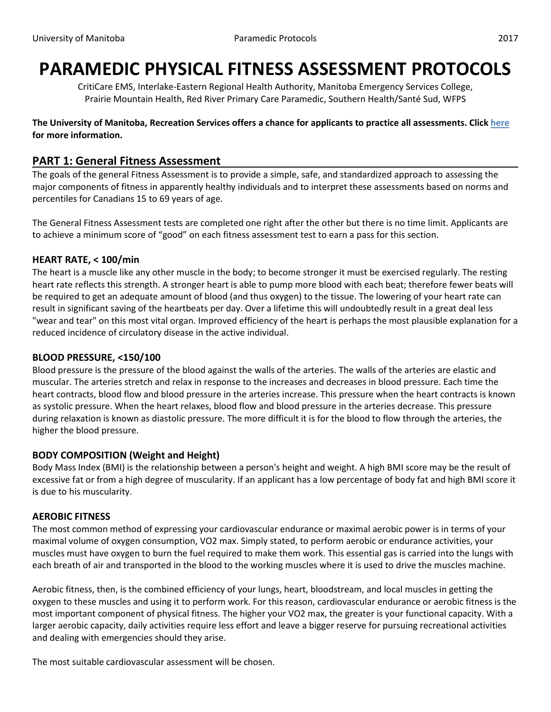# **PARAMEDIC PHYSICAL FITNESS ASSESSMENT PROTOCOLS**

CritiCare EMS, Interlake-Eastern Regional Health Authority, Manitoba Emergency Services College, Prairie Mountain Health, Red River Primary Care Paramedic, Southern Health/Santé Sud, WFPS

**The University of Manitoba, Recreation Services offers a chance for applicants to practice all assessments. Click here for more information.**

# **PART 1: General Fitness Assessment**

The goals of the general Fitness Assessment is to provide a simple, safe, and standardized approach to assessing the major components of fitness in apparently healthy individuals and to interpret these assessments based on norms and percentiles for Canadians 15 to 69 years of age.

The General Fitness Assessment tests are completed one right after the other but there is no time limit. Applicants are to achieve a minimum score of "good" on each fitness assessment test to earn a pass for this section.

#### **HEART RATE, < 100/min**

The heart is a muscle like any other muscle in the body; to become stronger it must be exercised regularly. The resting heart rate reflects this strength. A stronger heart is able to pump more blood with each beat; therefore fewer beats will be required to get an adequate amount of blood (and thus oxygen) to the tissue. The lowering of your heart rate can result in significant saving of the heartbeats per day. Over a lifetime this will undoubtedly result in a great deal less "wear and tear" on this most vital organ. Improved efficiency of the heart is perhaps the most plausible explanation for a reduced incidence of circulatory disease in the active individual.

#### **BLOOD PRESSURE, <150/100**

Blood pressure is the pressure of the blood against the walls of the arteries. The walls of the arteries are elastic and muscular. The arteries stretch and relax in response to the increases and decreases in blood pressure. Each time the heart contracts, blood flow and blood pressure in the arteries increase. This pressure when the heart contracts is known as systolic pressure. When the heart relaxes, blood flow and blood pressure in the arteries decrease. This pressure during relaxation is known as diastolic pressure. The more difficult it is for the blood to flow through the arteries, the higher the blood pressure.

## **BODY COMPOSITION (Weight and Height)**

Body Mass Index (BMI) is the relationship between a person's height and weight. A high BMI score may be the result of excessive fat or from a high degree of muscularity. If an applicant has a low percentage of body fat and high BMI score it is due to his muscularity.

#### **AEROBIC FITNESS**

The most common method of expressing your cardiovascular endurance or maximal aerobic power is in terms of your maximal volume of oxygen consumption, VO2 max. Simply stated, to perform aerobic or endurance activities, your muscles must have oxygen to burn the fuel required to make them work. This essential gas is carried into the lungs with each breath of air and transported in the blood to the working muscles where it is used to drive the muscles machine.

Aerobic fitness, then, is the combined efficiency of your lungs, heart, bloodstream, and local muscles in getting the oxygen to these muscles and using it to perform work. For this reason, cardiovascular endurance or aerobic fitness is the most important component of physical fitness. The higher your VO2 max, the greater is your functional capacity. With a larger aerobic capacity, daily activities require less effort and leave a bigger reserve for pursuing recreational activities and dealing with emergencies should they arise.

The most suitable cardiovascular assessment will be chosen.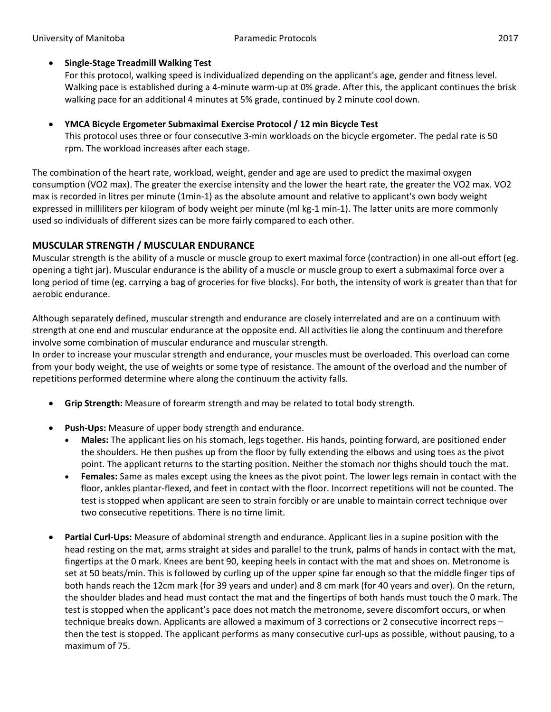## **Single-Stage Treadmill Walking Test**

For this protocol, walking speed is individualized depending on the applicant's age, gender and fitness level. Walking pace is established during a 4-minute warm-up at 0% grade. After this, the applicant continues the brisk walking pace for an additional 4 minutes at 5% grade, continued by 2 minute cool down.

## **YMCA Bicycle Ergometer Submaximal Exercise Protocol / 12 min Bicycle Test**

This protocol uses three or four consecutive 3-min workloads on the bicycle ergometer. The pedal rate is 50 rpm. The workload increases after each stage.

The combination of the heart rate, workload, weight, gender and age are used to predict the maximal oxygen consumption (VO2 max). The greater the exercise intensity and the lower the heart rate, the greater the VO2 max. VO2 max is recorded in litres per minute (1min-1) as the absolute amount and relative to applicant's own body weight expressed in milliliters per kilogram of body weight per minute (ml kg-1 min-1). The latter units are more commonly used so individuals of different sizes can be more fairly compared to each other.

# **MUSCULAR STRENGTH / MUSCULAR ENDURANCE**

Muscular strength is the ability of a muscle or muscle group to exert maximal force (contraction) in one all-out effort (eg. opening a tight jar). Muscular endurance is the ability of a muscle or muscle group to exert a submaximal force over a long period of time (eg. carrying a bag of groceries for five blocks). For both, the intensity of work is greater than that for aerobic endurance.

Although separately defined, muscular strength and endurance are closely interrelated and are on a continuum with strength at one end and muscular endurance at the opposite end. All activities lie along the continuum and therefore involve some combination of muscular endurance and muscular strength.

In order to increase your muscular strength and endurance, your muscles must be overloaded. This overload can come from your body weight, the use of weights or some type of resistance. The amount of the overload and the number of repetitions performed determine where along the continuum the activity falls.

- **Grip Strength:** Measure of forearm strength and may be related to total body strength.
- **Push-Ups:** Measure of upper body strength and endurance.
	- **Males:** The applicant lies on his stomach, legs together. His hands, pointing forward, are positioned ender the shoulders. He then pushes up from the floor by fully extending the elbows and using toes as the pivot point. The applicant returns to the starting position. Neither the stomach nor thighs should touch the mat.
	- **Females:** Same as males except using the knees as the pivot point. The lower legs remain in contact with the floor, ankles plantar-flexed, and feet in contact with the floor. Incorrect repetitions will not be counted. The test is stopped when applicant are seen to strain forcibly or are unable to maintain correct technique over two consecutive repetitions. There is no time limit.
- **Partial Curl-Ups:** Measure of abdominal strength and endurance. Applicant lies in a supine position with the head resting on the mat, arms straight at sides and parallel to the trunk, palms of hands in contact with the mat, fingertips at the 0 mark. Knees are bent 90, keeping heels in contact with the mat and shoes on. Metronome is set at 50 beats/min. This is followed by curling up of the upper spine far enough so that the middle finger tips of both hands reach the 12cm mark (for 39 years and under) and 8 cm mark (for 40 years and over). On the return, the shoulder blades and head must contact the mat and the fingertips of both hands must touch the 0 mark. The test is stopped when the applicant's pace does not match the metronome, severe discomfort occurs, or when technique breaks down. Applicants are allowed a maximum of 3 corrections or 2 consecutive incorrect reps – then the test is stopped. The applicant performs as many consecutive curl-ups as possible, without pausing, to a maximum of 75.